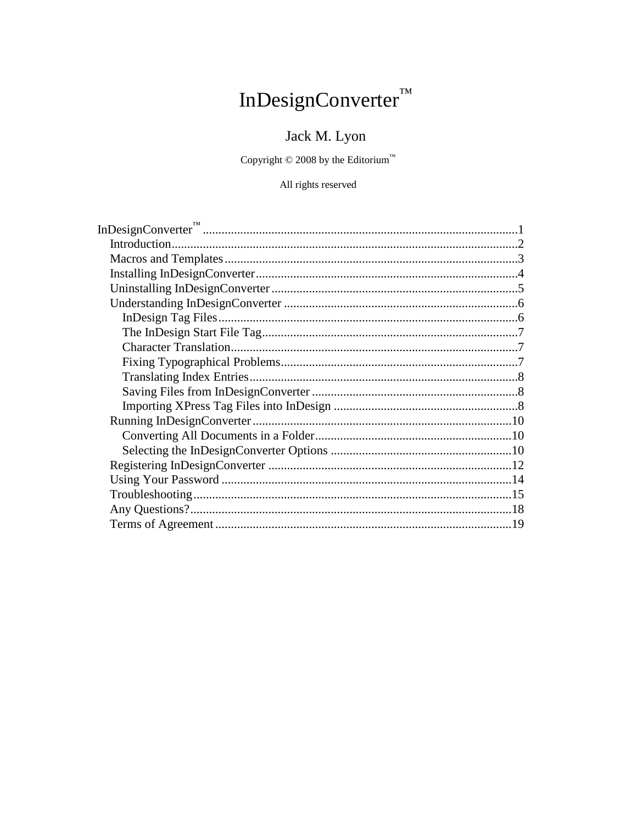# InDesignConverter<sup>TM</sup>

## Jack M. Lyon

Copyright  $\copyright$  2008 by the Editorium<br>  $\boldsymbol{v}^{\mathrm{m}}$ 

#### All rights reserved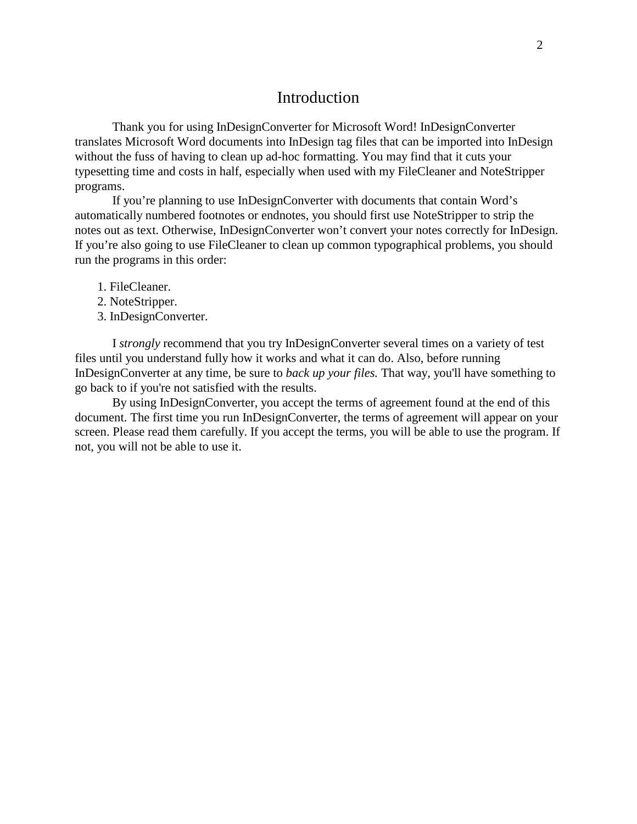### Introduction

Thank you for using InDesignConverter for Microsoft Word! InDesignConverter translates Microsoft Word documents into InDesign tag files that can be imported into InDesign without the fuss of having to clean up ad-hoc formatting. You may find that it cuts your typesetting time and costs in half, especially when used with my FileCleaner and NoteStripper programs.

If you're planning to use InDesignConverter with documents that contain Word's automatically numbered footnotes or endnotes, you should first use NoteStripper to strip the notes out as text. Otherwise, InDesignConverter won't convert your notes correctly for InDesign. If you're also going to use FileCleaner to clean up common typographical problems, you should run the programs in this order:

- 1. FileCleaner.
- 2. NoteStripper.
- 3. InDesignConverter.

I *strongly* recommend that you try InDesignConverter several times on a variety of test files until you understand fully how it works and what it can do. Also, before running InDesignConverter at any time, be sure to *back up your files.* That way, you'll have something to go back to if you're not satisfied with the results.

By using InDesignConverter, you accept the terms of agreement found at the end of this document. The first time you run InDesignConverter, the terms of agreement will appear on your screen. Please read them carefully. If you accept the terms, you will be able to use the program. If not, you will not be able to use it.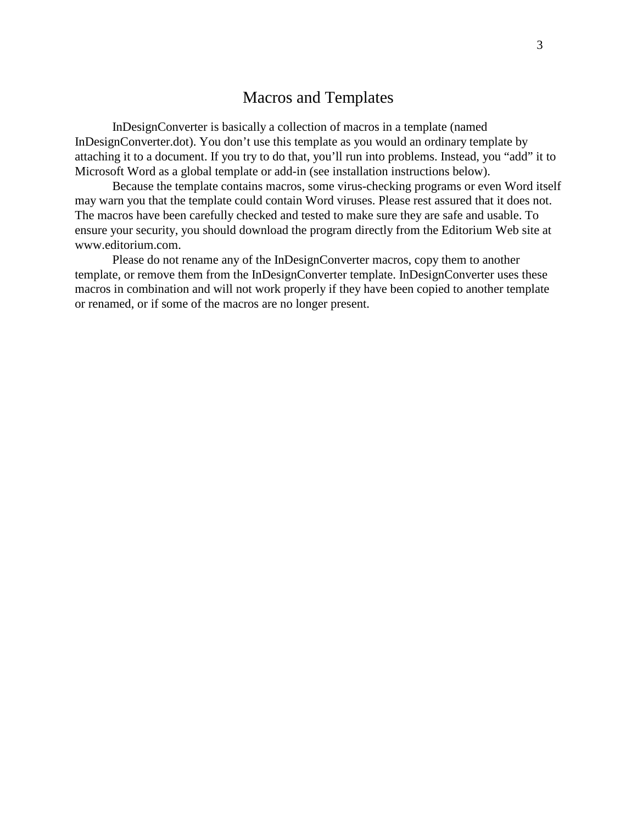## Macros and Templates

InDesignConverter is basically a collection of macros in a template (named InDesignConverter.dot). You don't use this template as you would an ordinary template by attaching it to a document. If you try to do that, you'll run into problems. Instead, you "add" it to Microsoft Word as a global template or add-in (see installation instructions below).

Because the template contains macros, some virus-checking programs or even Word itself may warn you that the template could contain Word viruses. Please rest assured that it does not. The macros have been carefully checked and tested to make sure they are safe and usable. To ensure your security, you should download the program directly from the Editorium Web site at www.editorium.com.

Please do not rename any of the InDesignConverter macros, copy them to another template, or remove them from the InDesignConverter template. InDesignConverter uses these macros in combination and will not work properly if they have been copied to another template or renamed, or if some of the macros are no longer present.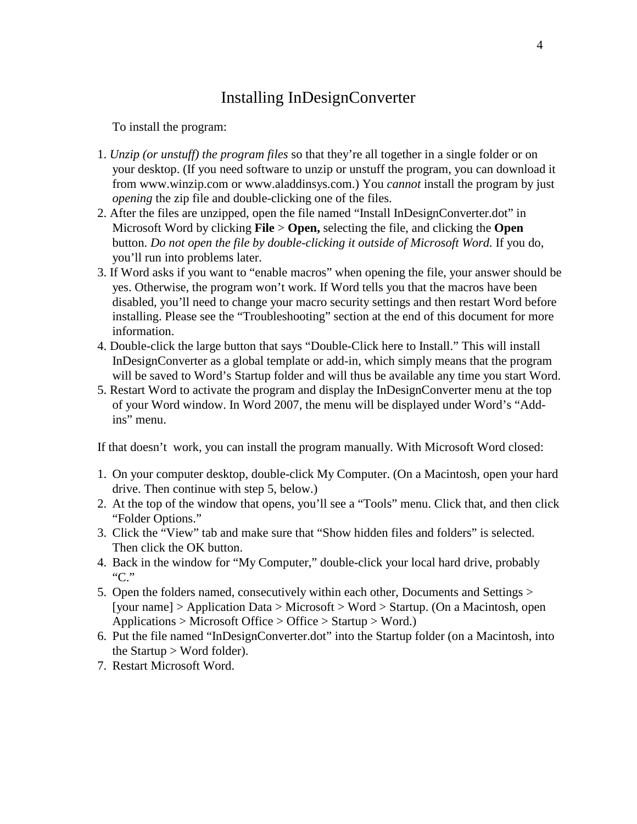## Installing InDesignConverter

To install the program:

- 1. *Unzip (or unstuff) the program files* so that they're all together in a single folder or on your desktop. (If you need software to unzip or unstuff the program, you can download it from www.winzip.com or www.aladdinsys.com.) You *cannot* install the program by just *opening* the zip file and double-clicking one of the files.
- 2. After the files are unzipped, open the file named "Install InDesignConverter.dot" in Microsoft Word by clicking **File** > **Open,** selecting the file, and clicking the **Open** button. *Do not open the file by double-clicking it outside of Microsoft Word.* If you do, you'll run into problems later.
- 3. If Word asks if you want to "enable macros" when opening the file, your answer should be yes. Otherwise, the program won't work. If Word tells you that the macros have been disabled, you'll need to change your macro security settings and then restart Word before installing. Please see the "Troubleshooting" section at the end of this document for more information.
- 4. Double-click the large button that says "Double-Click here to Install." This will install InDesignConverter as a global template or add-in, which simply means that the program will be saved to Word's Startup folder and will thus be available any time you start Word.
- 5. Restart Word to activate the program and display the InDesignConverter menu at the top of your Word window. In Word 2007, the menu will be displayed under Word's "Addins" menu.

If that doesn't work, you can install the program manually. With Microsoft Word closed:

- 1. On your computer desktop, double-click My Computer. (On a Macintosh, open your hard drive. Then continue with step 5, below.)
- 2. At the top of the window that opens, you'll see a "Tools" menu. Click that, and then click "Folder Options."
- 3. Click the "View" tab and make sure that "Show hidden files and folders" is selected. Then click the OK button.
- 4. Back in the window for "My Computer," double-click your local hard drive, probably "C."
- 5. Open the folders named, consecutively within each other, Documents and Settings > [your name] > Application Data > Microsoft > Word > Startup. (On a Macintosh, open Applications > Microsoft Office > Office > Startup > Word.)
- 6. Put the file named "InDesignConverter.dot" into the Startup folder (on a Macintosh, into the Startup  $>$  Word folder).
- 7. Restart Microsoft Word.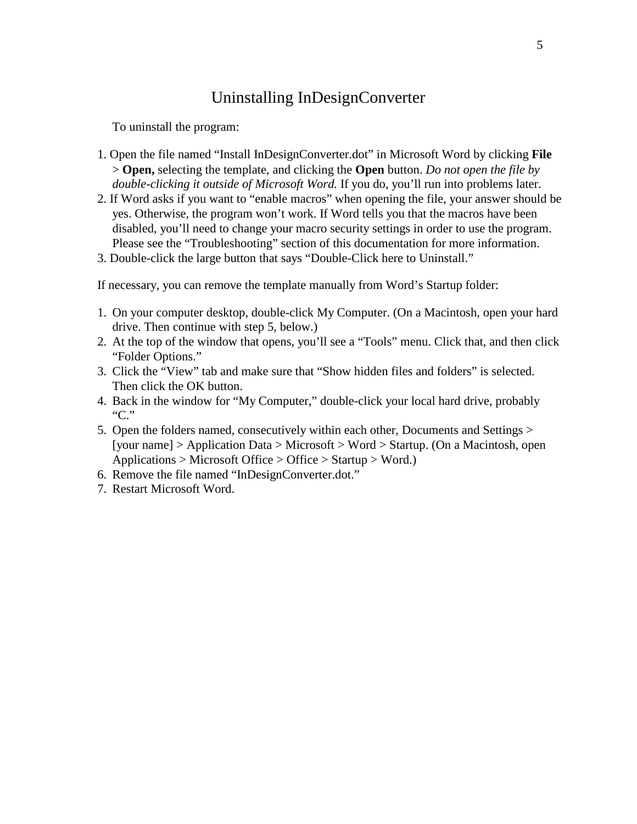## Uninstalling InDesignConverter

To uninstall the program:

- 1. Open the file named "Install InDesignConverter.dot" in Microsoft Word by clicking **File** > **Open,** selecting the template, and clicking the **Open** button. *Do not open the file by double-clicking it outside of Microsoft Word.* If you do, you'll run into problems later.
- 2. If Word asks if you want to "enable macros" when opening the file, your answer should be yes. Otherwise, the program won't work. If Word tells you that the macros have been disabled, you'll need to change your macro security settings in order to use the program. Please see the "Troubleshooting" section of this documentation for more information.
- 3. Double-click the large button that says "Double-Click here to Uninstall."

If necessary, you can remove the template manually from Word's Startup folder:

- 1. On your computer desktop, double-click My Computer. (On a Macintosh, open your hard drive. Then continue with step 5, below.)
- 2. At the top of the window that opens, you'll see a "Tools" menu. Click that, and then click "Folder Options."
- 3. Click the "View" tab and make sure that "Show hidden files and folders" is selected. Then click the OK button.
- 4. Back in the window for "My Computer," double-click your local hard drive, probably "C."
- 5. Open the folders named, consecutively within each other, Documents and Settings > [your name] > Application Data > Microsoft > Word > Startup. (On a Macintosh, open Applications > Microsoft Office > Office > Startup > Word.)
- 6. Remove the file named "InDesignConverter.dot."
- 7. Restart Microsoft Word.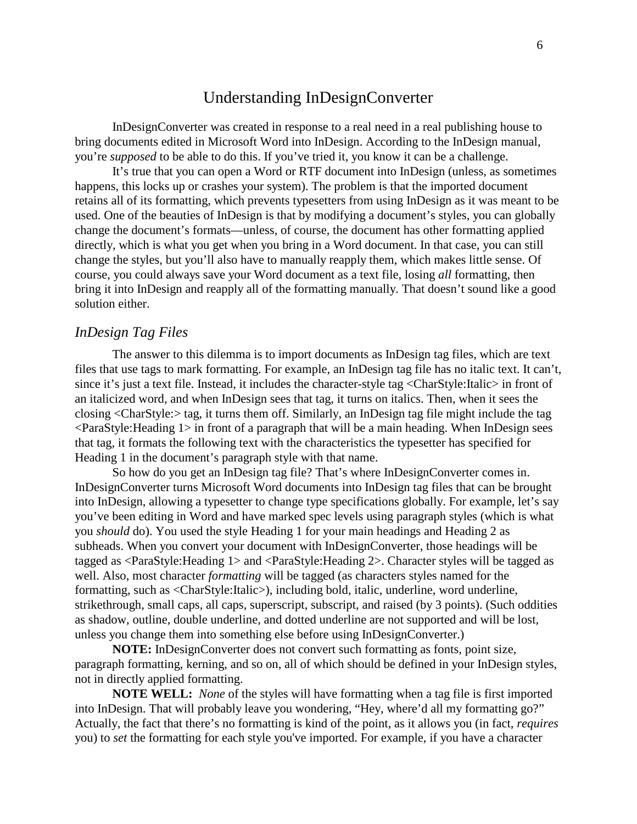## Understanding InDesignConverter

InDesignConverter was created in response to a real need in a real publishing house to bring documents edited in Microsoft Word into InDesign. According to the InDesign manual, you're *supposed* to be able to do this. If you've tried it, you know it can be a challenge.

It's true that you can open a Word or RTF document into InDesign (unless, as sometimes happens, this locks up or crashes your system). The problem is that the imported document retains all of its formatting, which prevents typesetters from using InDesign as it was meant to be used. One of the beauties of InDesign is that by modifying a document's styles, you can globally change the document's formats—unless, of course, the document has other formatting applied directly, which is what you get when you bring in a Word document. In that case, you can still change the styles, but you'll also have to manually reapply them, which makes little sense. Of course, you could always save your Word document as a text file, losing *all* formatting, then bring it into InDesign and reapply all of the formatting manually. That doesn't sound like a good solution either.

#### *InDesign Tag Files*

The answer to this dilemma is to import documents as InDesign tag files, which are text files that use tags to mark formatting. For example, an InDesign tag file has no italic text. It can't, since it's just a text file. Instead, it includes the character-style tag <CharStyle:Italic> in front of an italicized word, and when InDesign sees that tag, it turns on italics. Then, when it sees the closing <CharStyle:> tag, it turns them off. Similarly, an InDesign tag file might include the tag  $\leq$ ParaStyle: Heading 1  $>$  in front of a paragraph that will be a main heading. When InDesign sees that tag, it formats the following text with the characteristics the typesetter has specified for Heading 1 in the document's paragraph style with that name.

So how do you get an InDesign tag file? That's where InDesignConverter comes in. InDesignConverter turns Microsoft Word documents into InDesign tag files that can be brought into InDesign, allowing a typesetter to change type specifications globally. For example, let's say you've been editing in Word and have marked spec levels using paragraph styles (which is what you *should* do). You used the style Heading 1 for your main headings and Heading 2 as subheads. When you convert your document with InDesignConverter, those headings will be tagged as <ParaStyle:Heading 1> and <ParaStyle:Heading 2>. Character styles will be tagged as well. Also, most character *formatting* will be tagged (as characters styles named for the formatting, such as <CharStyle:Italic>), including bold, italic, underline, word underline, strikethrough, small caps, all caps, superscript, subscript, and raised (by 3 points). (Such oddities as shadow, outline, double underline, and dotted underline are not supported and will be lost, unless you change them into something else before using InDesignConverter.)

**NOTE:** InDesignConverter does not convert such formatting as fonts, point size, paragraph formatting, kerning, and so on, all of which should be defined in your InDesign styles, not in directly applied formatting.

**NOTE WELL:** *None* of the styles will have formatting when a tag file is first imported into InDesign. That will probably leave you wondering, "Hey, where'd all my formatting go?" Actually, the fact that there's no formatting is kind of the point, as it allows you (in fact, *requires* you) to *set* the formatting for each style you've imported. For example, if you have a character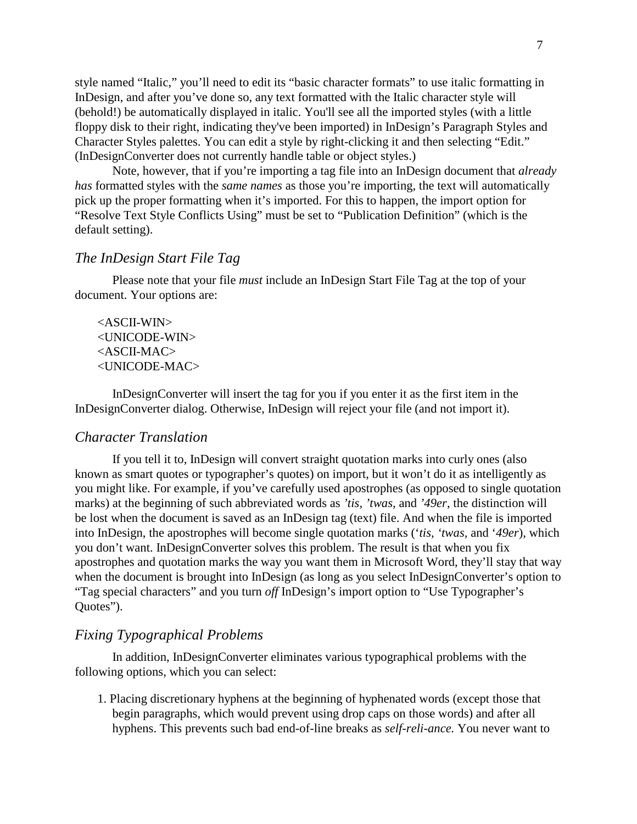style named "Italic," you'll need to edit its "basic character formats" to use italic formatting in InDesign, and after you've done so, any text formatted with the Italic character style will (behold!) be automatically displayed in italic. You'll see all the imported styles (with a little floppy disk to their right, indicating they've been imported) in InDesign's Paragraph Styles and Character Styles palettes. You can edit a style by right-clicking it and then selecting "Edit." (InDesignConverter does not currently handle table or object styles.)

Note, however, that if you're importing a tag file into an InDesign document that *already has* formatted styles with the *same names* as those you're importing, the text will automatically pick up the proper formatting when it's imported. For this to happen, the import option for "Resolve Text Style Conflicts Using" must be set to "Publication Definition" (which is the default setting).

#### *The InDesign Start File Tag*

Please note that your file *must* include an InDesign Start File Tag at the top of your document. Your options are:

<ASCII-WIN> <UNICODE-WIN> <ASCII-MAC> <UNICODE-MAC>

InDesignConverter will insert the tag for you if you enter it as the first item in the InDesignConverter dialog. Otherwise, InDesign will reject your file (and not import it).

#### *Character Translation*

If you tell it to, InDesign will convert straight quotation marks into curly ones (also known as smart quotes or typographer's quotes) on import, but it won't do it as intelligently as you might like. For example, if you've carefully used apostrophes (as opposed to single quotation marks) at the beginning of such abbreviated words as *'tis, 'twas,* and *'49er*, the distinction will be lost when the document is saved as an InDesign tag (text) file. And when the file is imported into InDesign, the apostrophes will become single quotation marks ('*tis, 'twas,* and '*49er*), which you don't want. InDesignConverter solves this problem. The result is that when you fix apostrophes and quotation marks the way you want them in Microsoft Word, they'll stay that way when the document is brought into InDesign (as long as you select InDesignConverter's option to "Tag special characters" and you turn *off* InDesign's import option to "Use Typographer's Quotes").

#### *Fixing Typographical Problems*

In addition, InDesignConverter eliminates various typographical problems with the following options, which you can select:

1. Placing discretionary hyphens at the beginning of hyphenated words (except those that begin paragraphs, which would prevent using drop caps on those words) and after all hyphens. This prevents such bad end-of-line breaks as *self-reli-ance.* You never want to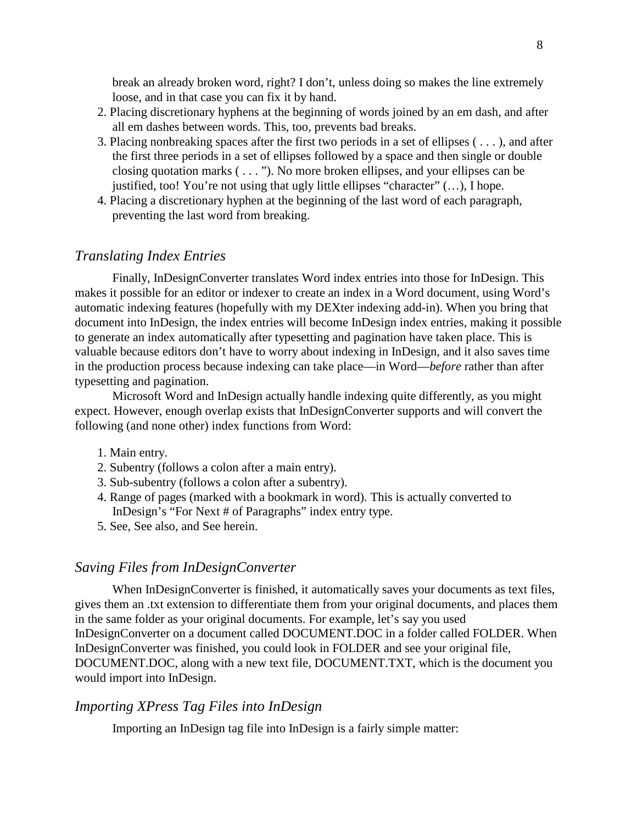break an already broken word, right? I don't, unless doing so makes the line extremely loose, and in that case you can fix it by hand.

- 2. Placing discretionary hyphens at the beginning of words joined by an em dash, and after all em dashes between words. This, too, prevents bad breaks.
- 3. Placing nonbreaking spaces after the first two periods in a set of ellipses ( . . . ), and after the first three periods in a set of ellipses followed by a space and then single or double closing quotation marks ( . . . "). No more broken ellipses, and your ellipses can be justified, too! You're not using that ugly little ellipses "character"  $(...)$ , I hope.
- 4. Placing a discretionary hyphen at the beginning of the last word of each paragraph, preventing the last word from breaking.

#### *Translating Index Entries*

Finally, InDesignConverter translates Word index entries into those for InDesign. This makes it possible for an editor or indexer to create an index in a Word document, using Word's automatic indexing features (hopefully with my DEXter indexing add-in). When you bring that document into InDesign, the index entries will become InDesign index entries, making it possible to generate an index automatically after typesetting and pagination have taken place. This is valuable because editors don't have to worry about indexing in InDesign, and it also saves time in the production process because indexing can take place—in Word—*before* rather than after typesetting and pagination.

Microsoft Word and InDesign actually handle indexing quite differently, as you might expect. However, enough overlap exists that InDesignConverter supports and will convert the following (and none other) index functions from Word:

- 1. Main entry.
- 2. Subentry (follows a colon after a main entry).
- 3. Sub-subentry (follows a colon after a subentry).
- 4. Range of pages (marked with a bookmark in word). This is actually converted to InDesign's "For Next # of Paragraphs" index entry type.
- 5. See, See also, and See herein.

#### *Saving Files from InDesignConverter*

When InDesignConverter is finished, it automatically saves your documents as text files, gives them an .txt extension to differentiate them from your original documents, and places them in the same folder as your original documents. For example, let's say you used InDesignConverter on a document called DOCUMENT.DOC in a folder called FOLDER. When InDesignConverter was finished, you could look in FOLDER and see your original file, DOCUMENT.DOC, along with a new text file, DOCUMENT.TXT, which is the document you would import into InDesign.

#### *Importing XPress Tag Files into InDesign*

Importing an InDesign tag file into InDesign is a fairly simple matter: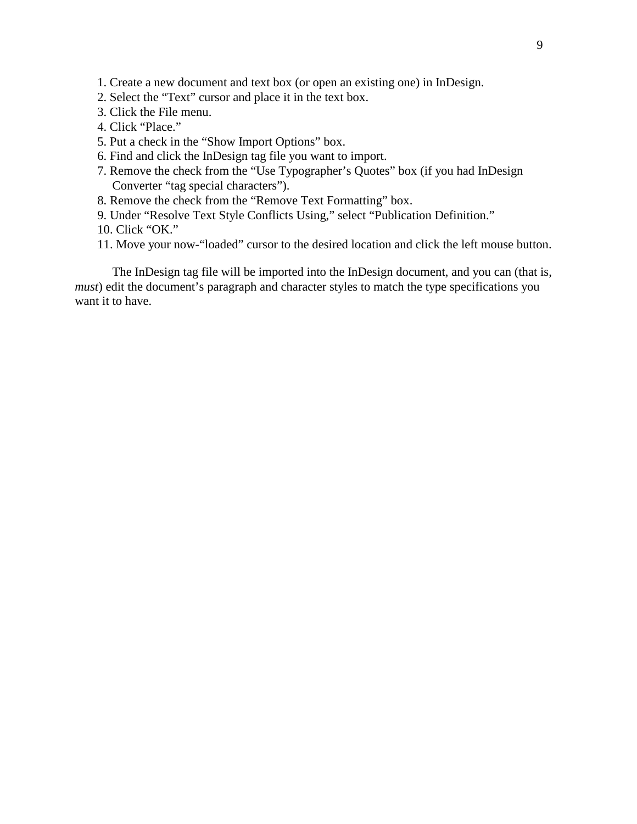- 1. Create a new document and text box (or open an existing one) in InDesign.
- 2. Select the "Text" cursor and place it in the text box.
- 3. Click the File menu.
- 4. Click "Place."
- 5. Put a check in the "Show Import Options" box.
- 6. Find and click the InDesign tag file you want to import.
- 7. Remove the check from the "Use Typographer's Quotes" box (if you had InDesign Converter "tag special characters").
- 8. Remove the check from the "Remove Text Formatting" box.
- 9. Under "Resolve Text Style Conflicts Using," select "Publication Definition."
- 10. Click "OK."
- 11. Move your now-"loaded" cursor to the desired location and click the left mouse button.

The InDesign tag file will be imported into the InDesign document, and you can (that is, *must*) edit the document's paragraph and character styles to match the type specifications you want it to have.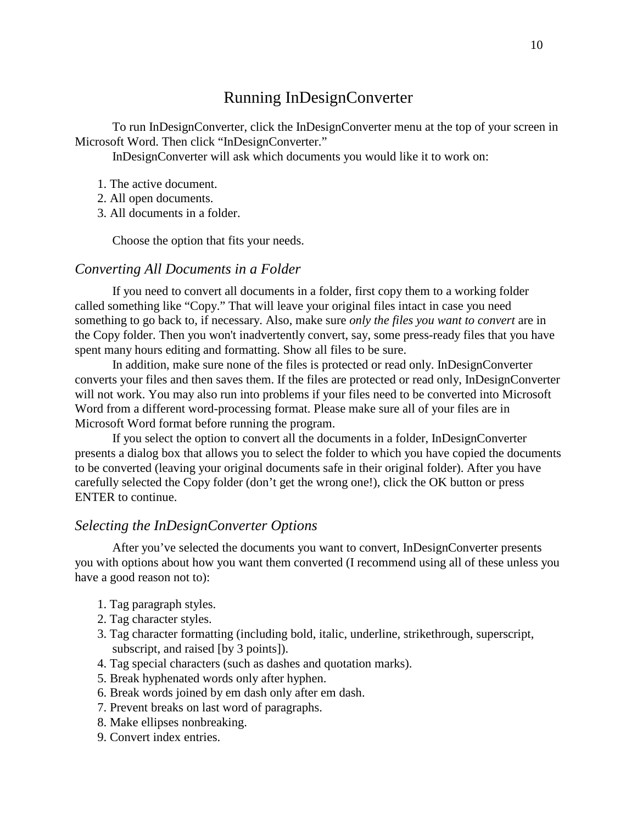## Running InDesignConverter

To run InDesignConverter, click the InDesignConverter menu at the top of your screen in Microsoft Word. Then click "InDesignConverter."

InDesignConverter will ask which documents you would like it to work on:

- 1. The active document.
- 2. All open documents.
- 3. All documents in a folder.

Choose the option that fits your needs.

#### *Converting All Documents in a Folder*

If you need to convert all documents in a folder, first copy them to a working folder called something like "Copy." That will leave your original files intact in case you need something to go back to, if necessary. Also, make sure *only the files you want to convert* are in the Copy folder. Then you won't inadvertently convert, say, some press-ready files that you have spent many hours editing and formatting. Show all files to be sure.

In addition, make sure none of the files is protected or read only. InDesignConverter converts your files and then saves them. If the files are protected or read only, InDesignConverter will not work. You may also run into problems if your files need to be converted into Microsoft Word from a different word-processing format. Please make sure all of your files are in Microsoft Word format before running the program.

If you select the option to convert all the documents in a folder, InDesignConverter presents a dialog box that allows you to select the folder to which you have copied the documents to be converted (leaving your original documents safe in their original folder). After you have carefully selected the Copy folder (don't get the wrong one!), click the OK button or press ENTER to continue.

#### *Selecting the InDesignConverter Options*

After you've selected the documents you want to convert, InDesignConverter presents you with options about how you want them converted (I recommend using all of these unless you have a good reason not to):

- 1. Tag paragraph styles.
- 2. Tag character styles.
- 3. Tag character formatting (including bold, italic, underline, strikethrough, superscript, subscript, and raised [by 3 points]).
- 4. Tag special characters (such as dashes and quotation marks).
- 5. Break hyphenated words only after hyphen.
- 6. Break words joined by em dash only after em dash.
- 7. Prevent breaks on last word of paragraphs.
- 8. Make ellipses nonbreaking.
- 9. Convert index entries.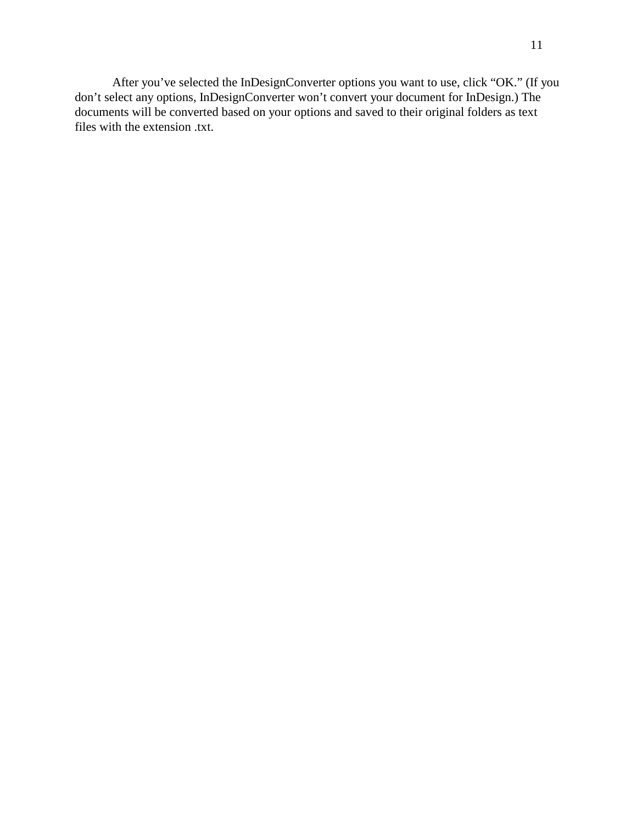After you've selected the InDesignConverter options you want to use, click "OK." (If you don't select any options, InDesignConverter won't convert your document for InDesign.) The documents will be converted based on your options and saved to their original folders as text files with the extension .txt.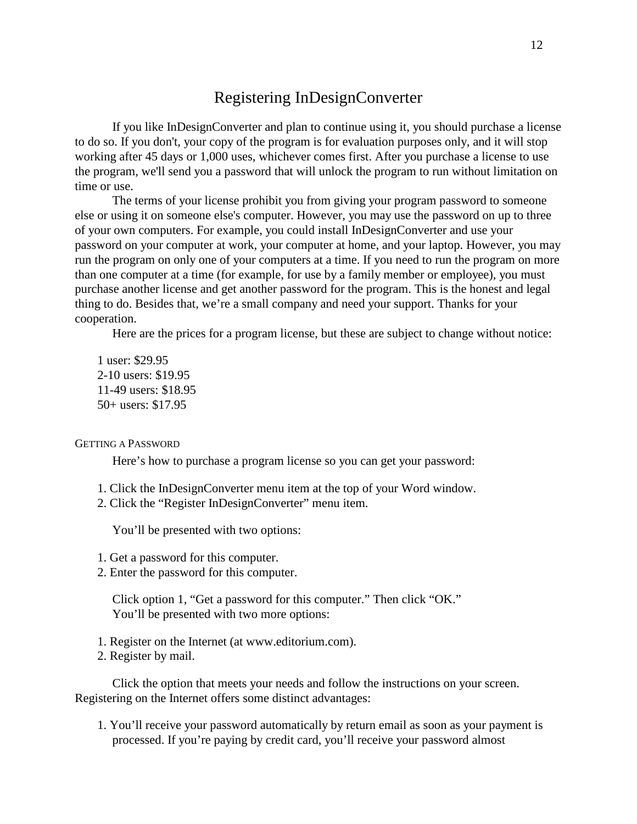## Registering InDesignConverter

If you like InDesignConverter and plan to continue using it, you should purchase a license to do so. If you don't, your copy of the program is for evaluation purposes only, and it will stop working after 45 days or 1,000 uses, whichever comes first. After you purchase a license to use the program, we'll send you a password that will unlock the program to run without limitation on time or use.

The terms of your license prohibit you from giving your program password to someone else or using it on someone else's computer. However, you may use the password on up to three of your own computers. For example, you could install InDesignConverter and use your password on your computer at work, your computer at home, and your laptop. However, you may run the program on only one of your computers at a time. If you need to run the program on more than one computer at a time (for example, for use by a family member or employee), you must purchase another license and get another password for the program. This is the honest and legal thing to do. Besides that, we're a small company and need your support. Thanks for your cooperation.

Here are the prices for a program license, but these are subject to change without notice:

1 user: \$29.95 2-10 users: \$19.95 11-49 users: \$18.95 50+ users: \$17.95

GETTING A PASSWORD

Here's how to purchase a program license so you can get your password:

- 1. Click the InDesignConverter menu item at the top of your Word window.
- 2. Click the "Register InDesignConverter" menu item.

You'll be presented with two options:

- 1. Get a password for this computer.
- 2. Enter the password for this computer.

Click option 1, "Get a password for this computer." Then click "OK." You'll be presented with two more options:

- 1. Register on the Internet (at www.editorium.com).
- 2. Register by mail.

Click the option that meets your needs and follow the instructions on your screen. Registering on the Internet offers some distinct advantages:

1. You'll receive your password automatically by return email as soon as your payment is processed. If you're paying by credit card, you'll receive your password almost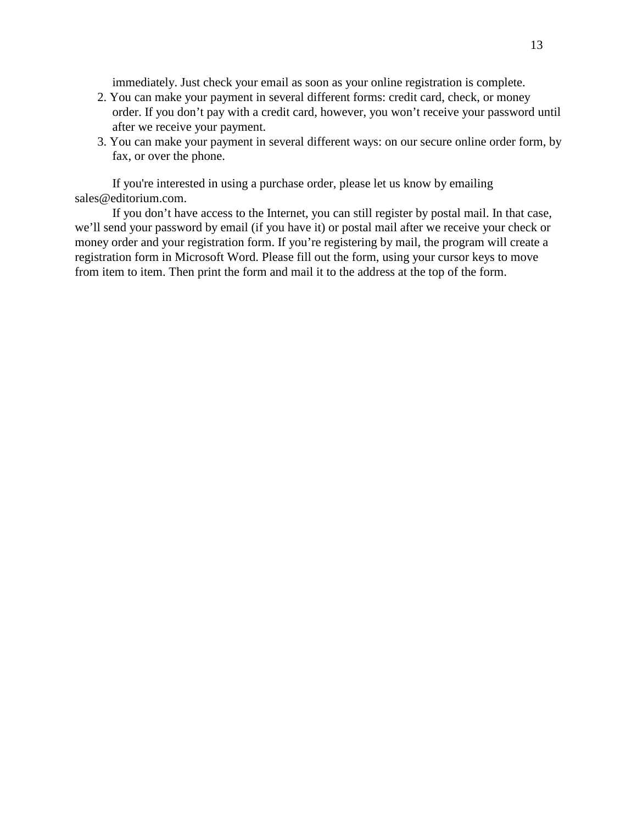immediately. Just check your email as soon as your online registration is complete.

- 2. You can make your payment in several different forms: credit card, check, or money order. If you don't pay with a credit card, however, you won't receive your password until after we receive your payment.
- 3. You can make your payment in several different ways: on our secure online order form, by fax, or over the phone.

If you're interested in using a purchase order, please let us know by emailing sales@editorium.com.

If you don't have access to the Internet, you can still register by postal mail. In that case, we'll send your password by email (if you have it) or postal mail after we receive your check or money order and your registration form. If you're registering by mail, the program will create a registration form in Microsoft Word. Please fill out the form, using your cursor keys to move from item to item. Then print the form and mail it to the address at the top of the form.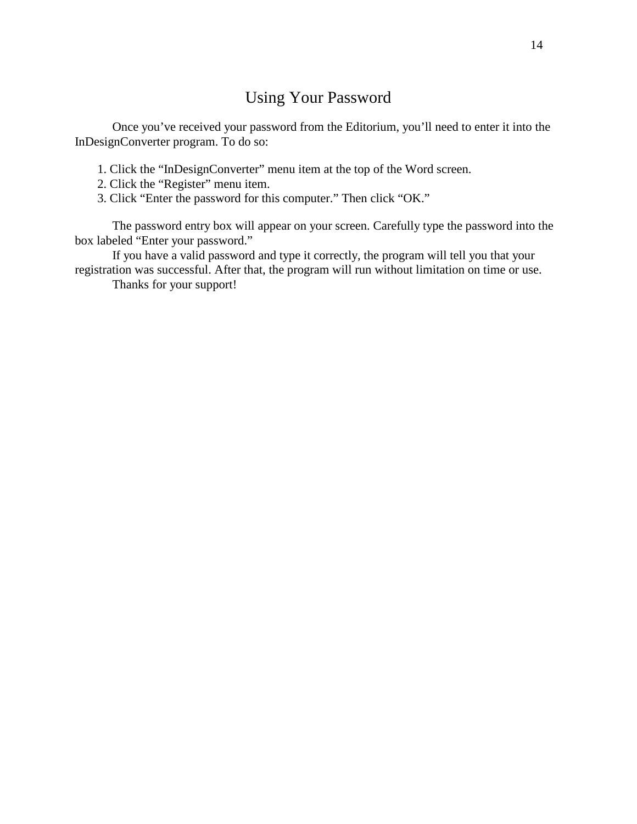## Using Your Password

Once you've received your password from the Editorium, you'll need to enter it into the InDesignConverter program. To do so:

- 1. Click the "InDesignConverter" menu item at the top of the Word screen.
- 2. Click the "Register" menu item.
- 3. Click "Enter the password for this computer." Then click "OK."

The password entry box will appear on your screen. Carefully type the password into the box labeled "Enter your password."

If you have a valid password and type it correctly, the program will tell you that your registration was successful. After that, the program will run without limitation on time or use.

Thanks for your support!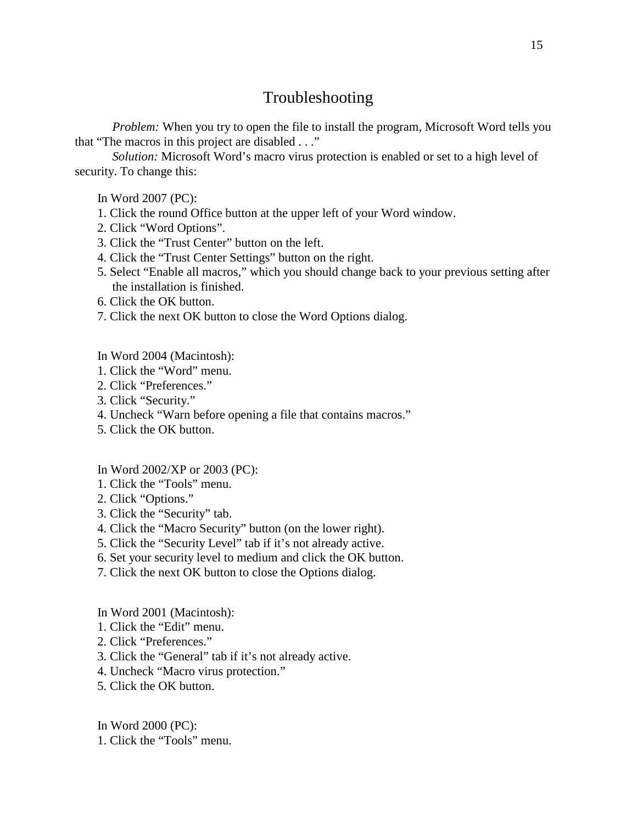## Troubleshooting

*Problem:* When you try to open the file to install the program, Microsoft Word tells you that "The macros in this project are disabled . . ."

*Solution:* Microsoft Word's macro virus protection is enabled or set to a high level of security. To change this:

In Word 2007 (PC):

- 1. Click the round Office button at the upper left of your Word window.
- 2. Click "Word Options".
- 3. Click the "Trust Center" button on the left.
- 4. Click the "Trust Center Settings" button on the right.
- 5. Select "Enable all macros," which you should change back to your previous setting after the installation is finished.
- 6. Click the OK button.
- 7. Click the next OK button to close the Word Options dialog.
- In Word 2004 (Macintosh):
- 1. Click the "Word" menu.
- 2. Click "Preferences."
- 3. Click "Security."
- 4. Uncheck "Warn before opening a file that contains macros."
- 5. Click the OK button.

#### In Word 2002/XP or 2003 (PC):

- 1. Click the "Tools" menu.
- 2. Click "Options."
- 3. Click the "Security" tab.
- 4. Click the "Macro Security" button (on the lower right).
- 5. Click the "Security Level" tab if it's not already active.
- 6. Set your security level to medium and click the OK button.
- 7. Click the next OK button to close the Options dialog.

In Word 2001 (Macintosh):

- 1. Click the "Edit" menu.
- 2. Click "Preferences."
- 3. Click the "General" tab if it's not already active.
- 4. Uncheck "Macro virus protection."
- 5. Click the OK button.

In Word 2000 (PC):

1. Click the "Tools" menu.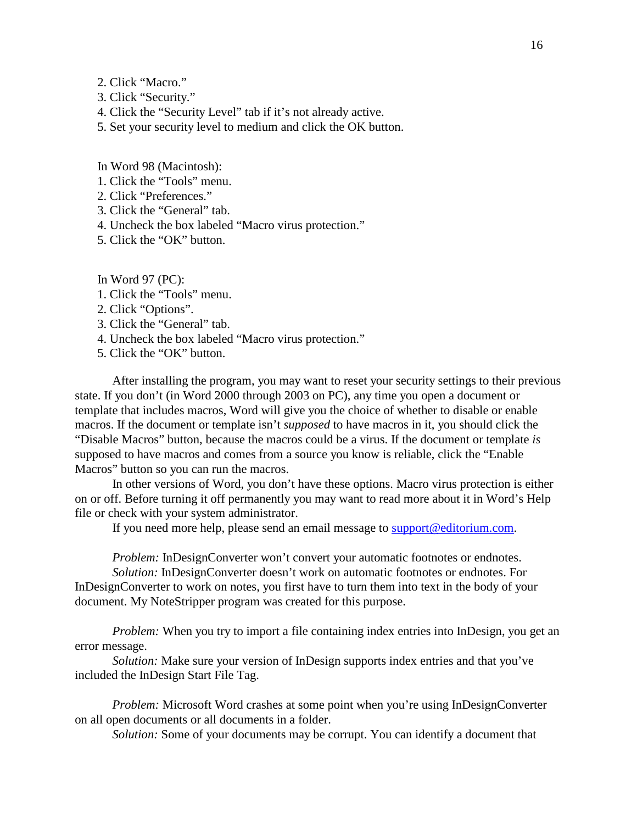- 2. Click "Macro."
- 3. Click "Security."
- 4. Click the "Security Level" tab if it's not already active.
- 5. Set your security level to medium and click the OK button.

In Word 98 (Macintosh):

- 1. Click the "Tools" menu.
- 2. Click "Preferences."
- 3. Click the "General" tab.
- 4. Uncheck the box labeled "Macro virus protection."
- 5. Click the "OK" button.

In Word 97 (PC):

- 1. Click the "Tools" menu.
- 2. Click "Options".
- 3. Click the "General" tab.
- 4. Uncheck the box labeled "Macro virus protection."
- 5. Click the "OK" button.

After installing the program, you may want to reset your security settings to their previous state. If you don't (in Word 2000 through 2003 on PC), any time you open a document or template that includes macros, Word will give you the choice of whether to disable or enable macros. If the document or template isn't *supposed* to have macros in it, you should click the "Disable Macros" button, because the macros could be a virus. If the document or template *is* supposed to have macros and comes from a source you know is reliable, click the "Enable Macros" button so you can run the macros.

In other versions of Word, you don't have these options. Macro virus protection is either on or off. Before turning it off permanently you may want to read more about it in Word's Help file or check with your system administrator.

If you need more help, please send an email message to support@editorium.com.

*Problem:* InDesignConverter won't convert your automatic footnotes or endnotes.

*Solution:* InDesignConverter doesn't work on automatic footnotes or endnotes. For InDesignConverter to work on notes, you first have to turn them into text in the body of your document. My NoteStripper program was created for this purpose.

*Problem:* When you try to import a file containing index entries into InDesign, you get an error message.

*Solution:* Make sure your version of InDesign supports index entries and that you've included the InDesign Start File Tag.

*Problem:* Microsoft Word crashes at some point when you're using InDesignConverter on all open documents or all documents in a folder.

*Solution:* Some of your documents may be corrupt. You can identify a document that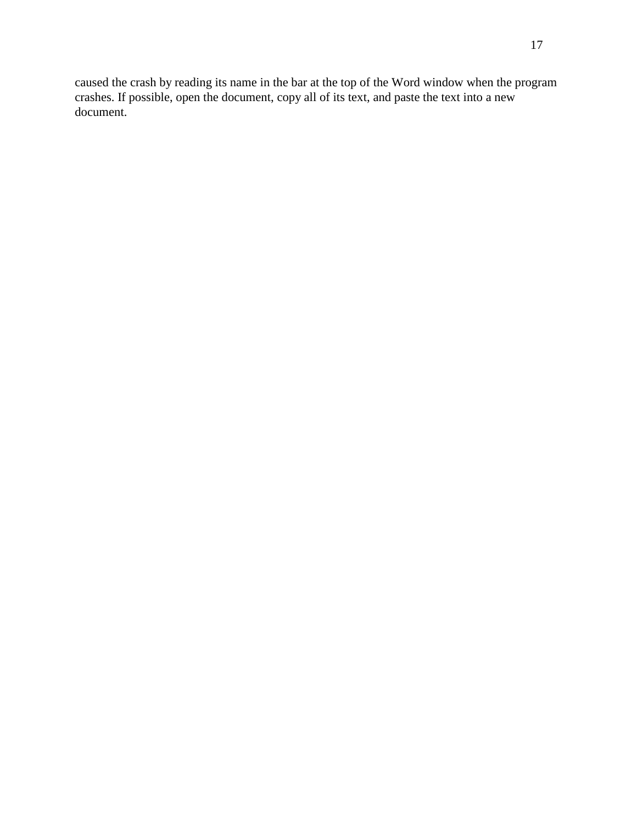caused the crash by reading its name in the bar at the top of the Word window when the program crashes. If possible, open the document, copy all of its text, and paste the text into a new document.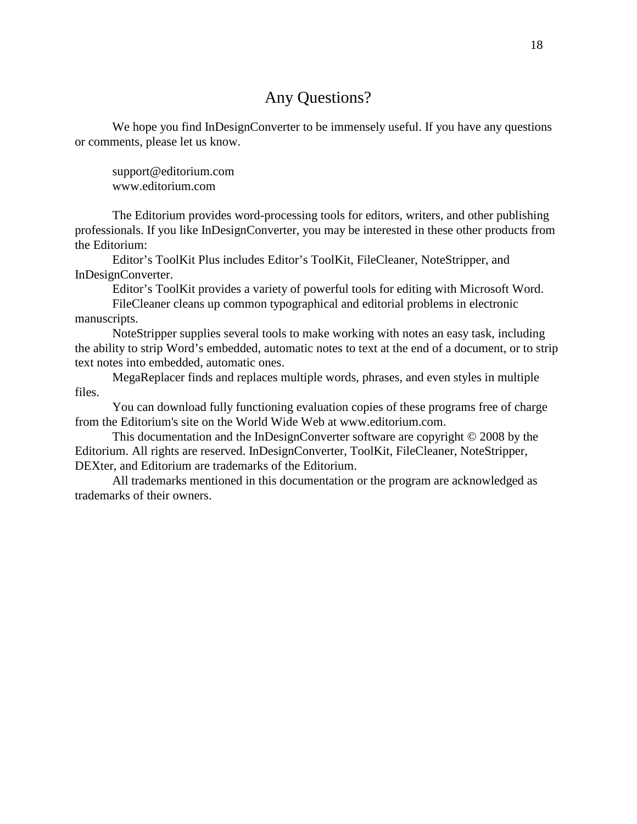## Any Questions?

We hope you find InDesignConverter to be immensely useful. If you have any questions or comments, please let us know.

support@editorium.com www.editorium.com

The Editorium provides word-processing tools for editors, writers, and other publishing professionals. If you like InDesignConverter, you may be interested in these other products from the Editorium:

Editor's ToolKit Plus includes Editor's ToolKit, FileCleaner, NoteStripper, and InDesignConverter.

Editor's ToolKit provides a variety of powerful tools for editing with Microsoft Word. FileCleaner cleans up common typographical and editorial problems in electronic

#### manuscripts.

NoteStripper supplies several tools to make working with notes an easy task, including the ability to strip Word's embedded, automatic notes to text at the end of a document, or to strip text notes into embedded, automatic ones.

MegaReplacer finds and replaces multiple words, phrases, and even styles in multiple files.

You can download fully functioning evaluation copies of these programs free of charge from the Editorium's site on the World Wide Web at www.editorium.com.

This documentation and the InDesignConverter software are copyright © 2008 by the Editorium. All rights are reserved. InDesignConverter, ToolKit, FileCleaner, NoteStripper, DEXter, and Editorium are trademarks of the Editorium.

All trademarks mentioned in this documentation or the program are acknowledged as trademarks of their owners.